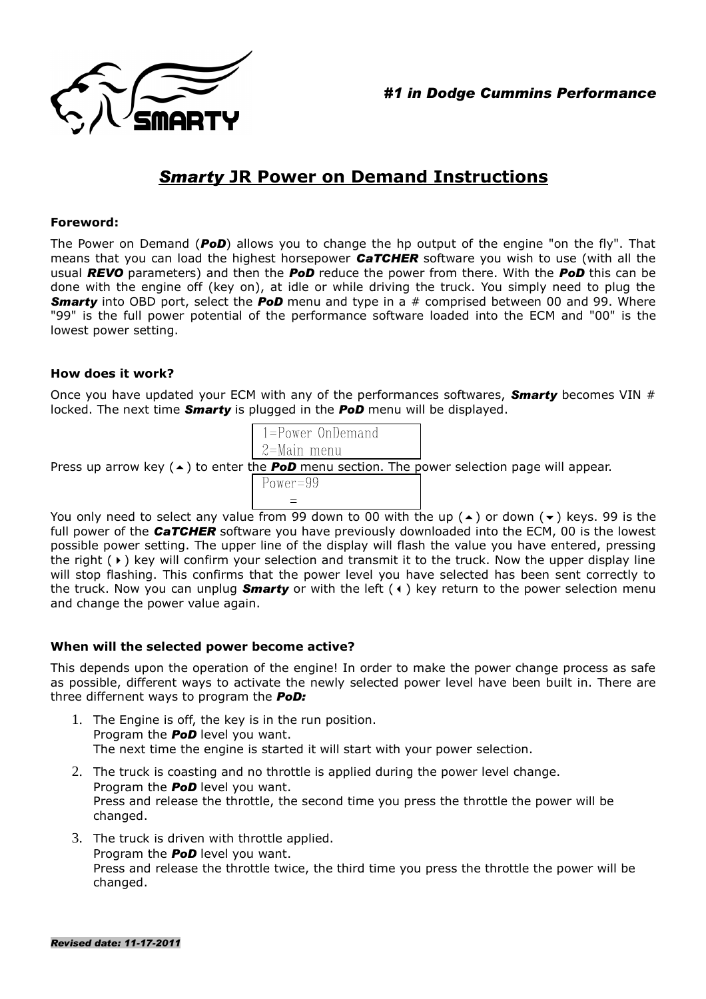



# *Smarty* **JR Power on Demand Instructions**

### **Foreword:**

The Power on Demand (*PoD*) allows you to change the hp output of the engine "on the fly". That means that you can load the highest horsepower *CaTCHER* software you wish to use (with all the usual *REVO* parameters) and then the *PoD* reduce the power from there. With the *PoD* this can be done with the engine off (key on), at idle or while driving the truck. You simply need to plug the *Smarty* into OBD port, select the *PoD* menu and type in a # comprised between 00 and 99. Where "99" is the full power potential of the performance software loaded into the ECM and "00" is the lowest power setting.

# **How does it work?**

Once you have updated your ECM with any of the performances softwares, *Smarty* becomes VIN # locked. The next time *Smarty* is plugged in the *PoD* menu will be displayed.

| $1 = Power OnDemand$ |  |
|----------------------|--|
| 2=Main menu          |  |

Press up arrow key  $(\triangle)$  to enter the **PoD** menu section. The power selection page will appear.  $Power=99$ 

You only need to select any value from 99 down to 00 with the up  $($   $\rightarrow$  or down  $($   $\rightarrow$   $)$  keys. 99 is the full power of the *CaTCHER* software you have previously downloaded into the ECM, 00 is the lowest possible power setting. The upper line of the display will flash the value you have entered, pressing the right  $(\cdot)$  key will confirm your selection and transmit it to the truck. Now the upper display line will stop flashing. This confirms that the power level you have selected has been sent correctly to the truck. Now you can unplug **Smarty** or with the left ( $\triangleleft$ ) key return to the power selection menu and change the power value again.

# **When will the selected power become active?**

This depends upon the operation of the engine! In order to make the power change process as safe as possible, different ways to activate the newly selected power level have been built in. There are three differnent ways to program the *PoD:*

- 1. The Engine is off, the key is in the run position. Program the *PoD* level you want. The next time the engine is started it will start with your power selection.
- 2. The truck is coasting and no throttle is applied during the power level change. Program the *PoD* level you want. Press and release the throttle, the second time you press the throttle the power will be changed.
- 3. The truck is driven with throttle applied. Program the *PoD* level you want. Press and release the throttle twice, the third time you press the throttle the power will be changed.